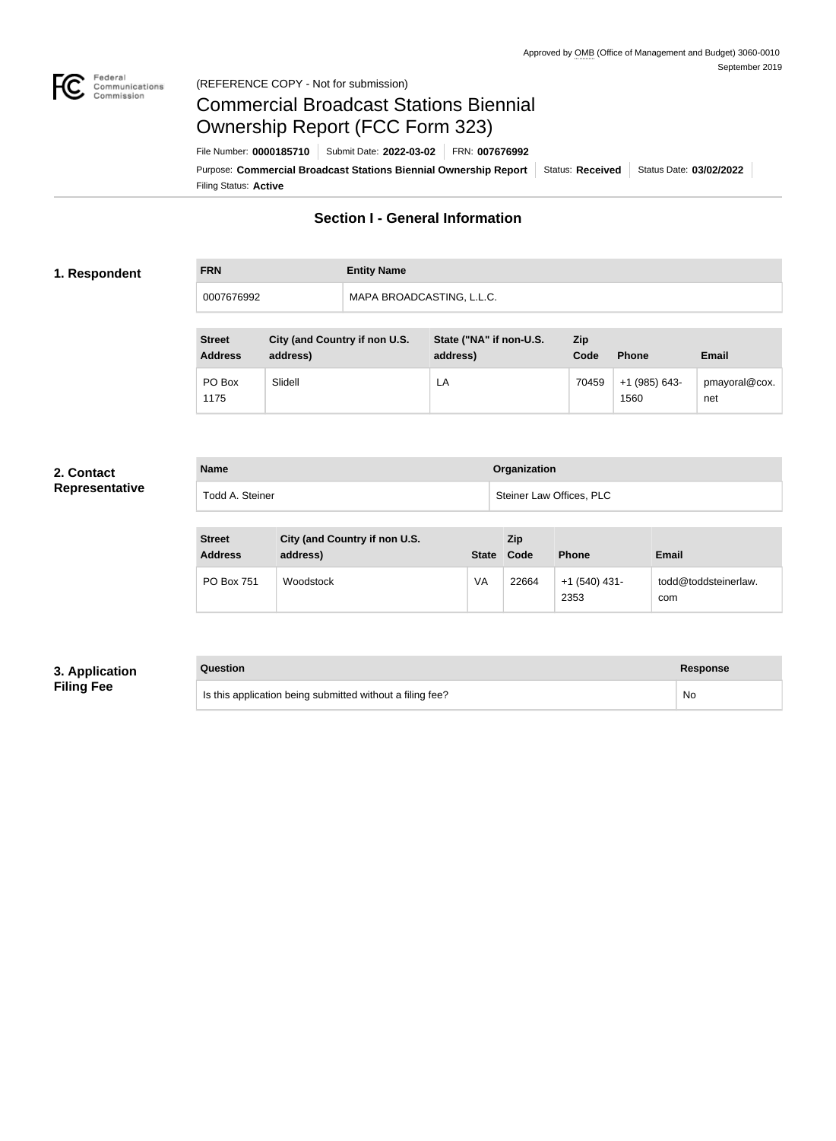

#### Federal<br>Communications<br>Commission (REFERENCE COPY - Not for submission)

# Commercial Broadcast Stations Biennial Ownership Report (FCC Form 323)

Filing Status: **Active** Purpose: Commercial Broadcast Stations Biennial Ownership Report Status: Received Status Date: 03/02/2022 File Number: **0000185710** Submit Date: **2022-03-02** FRN: **007676992**

## **Section I - General Information**

#### **1. Respondent**

# **FRN Entity Name** 0007676992 MAPA BROADCASTING, L.L.C.

| <b>Street</b><br><b>Address</b> | <b>City (and Country if non U.S.</b><br>address) | State ("NA" if non-U.S.<br>address) | Zip<br>Code | <b>Phone</b>            | <b>Email</b>         |
|---------------------------------|--------------------------------------------------|-------------------------------------|-------------|-------------------------|----------------------|
| PO Box<br>1175                  | Slidell                                          | LA                                  | 70459       | $+1$ (985) 643-<br>1560 | pmayoral@cox.<br>net |

#### **2. Contact Representative**

| <b>Name</b>     | <b>Organization</b>      |
|-----------------|--------------------------|
| Todd A. Steiner | Steiner Law Offices, PLC |

| <b>Street</b><br><b>Address</b> | City (and Country if non U.S.<br>address) | <b>State</b> | <b>Zip</b><br>Code | <b>Phone</b>            | <b>Email</b>                |
|---------------------------------|-------------------------------------------|--------------|--------------------|-------------------------|-----------------------------|
| <b>PO Box 751</b>               | Woodstock                                 | VA           | 22664              | $+1$ (540) 431-<br>2353 | todd@toddsteinerlaw.<br>com |

#### **3. Application Filing Fee**

| Question                                                  | <b>Response</b> |
|-----------------------------------------------------------|-----------------|
| Is this application being submitted without a filing fee? | No              |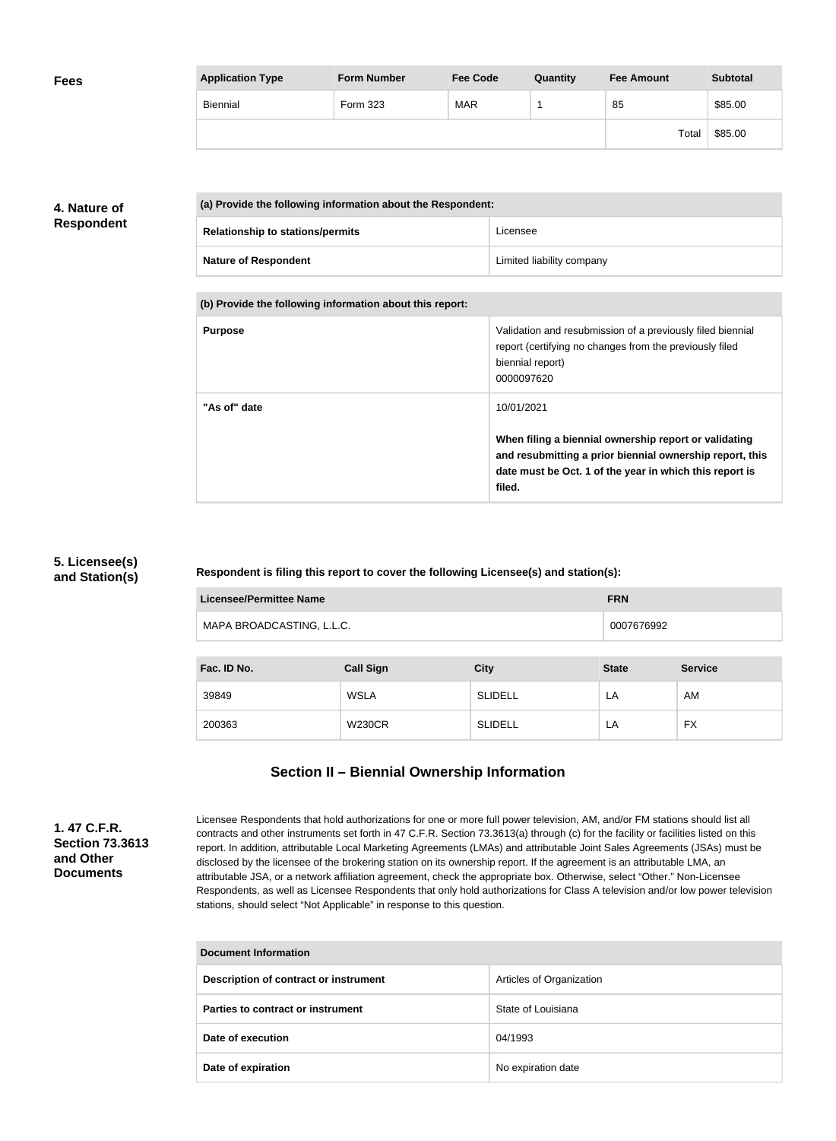| <b>Fees</b> | <b>Application Type</b> | <b>Form Number</b> | <b>Fee Code</b> | Quantity | <b>Fee Amount</b> | <b>Subtotal</b> |
|-------------|-------------------------|--------------------|-----------------|----------|-------------------|-----------------|
|             | Biennial                | Form 323           | <b>MAR</b>      |          | 85                | \$85.00         |
|             |                         |                    |                 |          | Total             | \$85.00         |

## **4. Nature of Respondent**

| (a) Provide the following information about the Respondent: |                           |  |
|-------------------------------------------------------------|---------------------------|--|
| <b>Relationship to stations/permits</b>                     | Licensee                  |  |
| <b>Nature of Respondent</b>                                 | Limited liability company |  |

**(b) Provide the following information about this report:**

| <b>Purpose</b> | Validation and resubmission of a previously filed biennial<br>report (certifying no changes from the previously filed<br>biennial report)<br>0000097620                                |
|----------------|----------------------------------------------------------------------------------------------------------------------------------------------------------------------------------------|
| "As of" date   | 10/01/2021                                                                                                                                                                             |
|                | When filing a biennial ownership report or validating<br>and resubmitting a prior biennial ownership report, this<br>date must be Oct. 1 of the year in which this report is<br>filed. |

### **5. Licensee(s) and Station(s)**

#### **Respondent is filing this report to cover the following Licensee(s) and station(s):**

| <b>Licensee/Permittee Name</b> | <b>FRN</b>       |                |              |                |
|--------------------------------|------------------|----------------|--------------|----------------|
| MAPA BROADCASTING, L.L.C.      |                  |                | 0007676992   |                |
|                                |                  |                |              |                |
| Fac. ID No.                    | <b>Call Sign</b> | <b>City</b>    | <b>State</b> | <b>Service</b> |
| 39849                          | WSLA             | <b>SLIDELL</b> | LA           | AM             |
| 200363                         | <b>W230CR</b>    | <b>SLIDELL</b> | LA           | <b>FX</b>      |

# **Section II – Biennial Ownership Information**

**1. 47 C.F.R. Section 73.3613 and Other Documents**

Licensee Respondents that hold authorizations for one or more full power television, AM, and/or FM stations should list all contracts and other instruments set forth in 47 C.F.R. Section 73.3613(a) through (c) for the facility or facilities listed on this report. In addition, attributable Local Marketing Agreements (LMAs) and attributable Joint Sales Agreements (JSAs) must be disclosed by the licensee of the brokering station on its ownership report. If the agreement is an attributable LMA, an attributable JSA, or a network affiliation agreement, check the appropriate box. Otherwise, select "Other." Non-Licensee Respondents, as well as Licensee Respondents that only hold authorizations for Class A television and/or low power television stations, should select "Not Applicable" in response to this question.

| Document Information                  |                          |  |
|---------------------------------------|--------------------------|--|
| Description of contract or instrument | Articles of Organization |  |
| Parties to contract or instrument     | State of Louisiana       |  |
| Date of execution                     | 04/1993                  |  |
| Date of expiration                    | No expiration date       |  |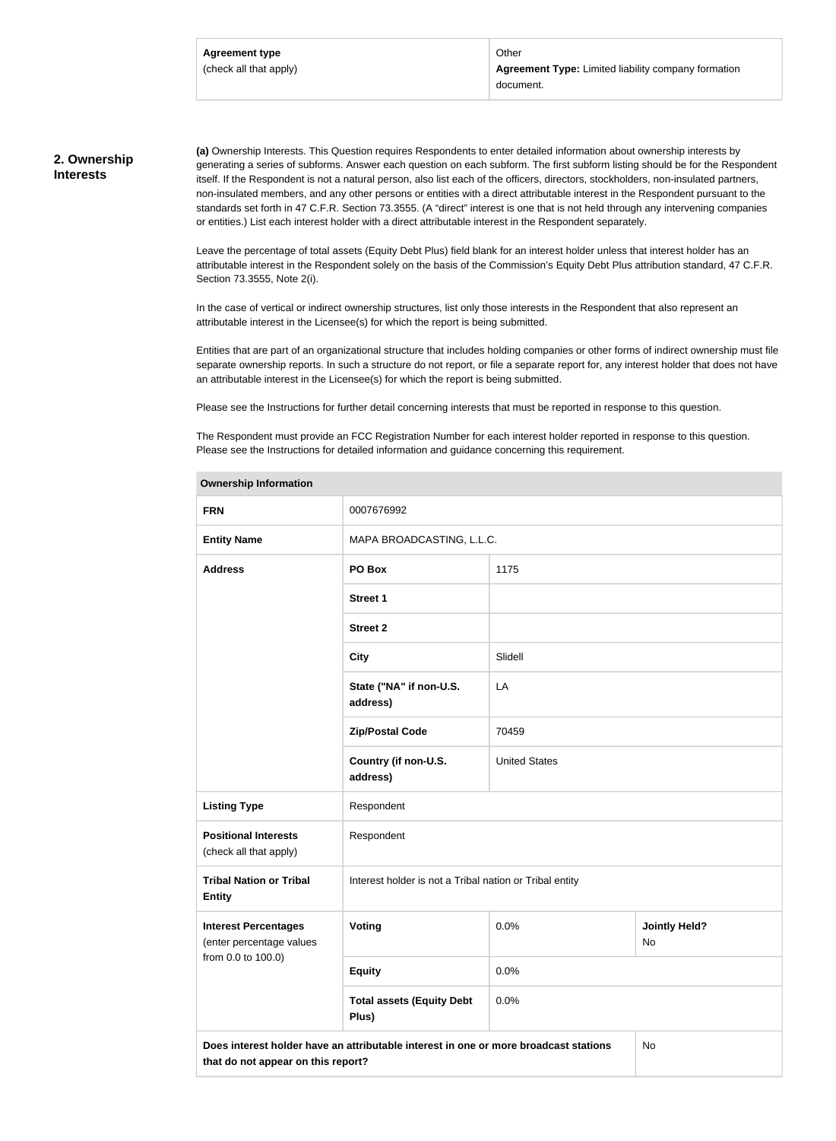Other **Agreement Type:** Limited liability company formation document.

#### **2. Ownership Interests**

**(a)** Ownership Interests. This Question requires Respondents to enter detailed information about ownership interests by generating a series of subforms. Answer each question on each subform. The first subform listing should be for the Respondent itself. If the Respondent is not a natural person, also list each of the officers, directors, stockholders, non-insulated partners, non-insulated members, and any other persons or entities with a direct attributable interest in the Respondent pursuant to the standards set forth in 47 C.F.R. Section 73.3555. (A "direct" interest is one that is not held through any intervening companies or entities.) List each interest holder with a direct attributable interest in the Respondent separately.

Leave the percentage of total assets (Equity Debt Plus) field blank for an interest holder unless that interest holder has an attributable interest in the Respondent solely on the basis of the Commission's Equity Debt Plus attribution standard, 47 C.F.R. Section 73.3555, Note 2(i).

In the case of vertical or indirect ownership structures, list only those interests in the Respondent that also represent an attributable interest in the Licensee(s) for which the report is being submitted.

Entities that are part of an organizational structure that includes holding companies or other forms of indirect ownership must file separate ownership reports. In such a structure do not report, or file a separate report for, any interest holder that does not have an attributable interest in the Licensee(s) for which the report is being submitted.

Please see the Instructions for further detail concerning interests that must be reported in response to this question.

The Respondent must provide an FCC Registration Number for each interest holder reported in response to this question. Please see the Instructions for detailed information and guidance concerning this requirement.

| Uwil <del>c</del> i ship information                                                                                             |                                                         |                      |                            |  |
|----------------------------------------------------------------------------------------------------------------------------------|---------------------------------------------------------|----------------------|----------------------------|--|
| <b>FRN</b>                                                                                                                       | 0007676992                                              |                      |                            |  |
| <b>Entity Name</b>                                                                                                               | MAPA BROADCASTING, L.L.C.                               |                      |                            |  |
| <b>Address</b>                                                                                                                   | PO Box<br>1175                                          |                      |                            |  |
|                                                                                                                                  | <b>Street 1</b>                                         |                      |                            |  |
|                                                                                                                                  | <b>Street 2</b>                                         |                      |                            |  |
|                                                                                                                                  | <b>City</b>                                             | Slidell              |                            |  |
|                                                                                                                                  | State ("NA" if non-U.S.<br>address)                     | LA                   |                            |  |
|                                                                                                                                  | <b>Zip/Postal Code</b>                                  | 70459                |                            |  |
|                                                                                                                                  | Country (if non-U.S.<br>address)                        | <b>United States</b> |                            |  |
| <b>Listing Type</b>                                                                                                              | Respondent                                              |                      |                            |  |
| <b>Positional Interests</b><br>(check all that apply)                                                                            | Respondent                                              |                      |                            |  |
| <b>Tribal Nation or Tribal</b><br><b>Entity</b>                                                                                  | Interest holder is not a Tribal nation or Tribal entity |                      |                            |  |
| 0.0%<br><b>Interest Percentages</b><br>Voting<br>(enter percentage values                                                        |                                                         |                      | <b>Jointly Held?</b><br>No |  |
| from 0.0 to 100.0)                                                                                                               | <b>Equity</b>                                           | 0.0%                 |                            |  |
|                                                                                                                                  | <b>Total assets (Equity Debt</b><br>Plus)               | 0.0%                 |                            |  |
| Does interest holder have an attributable interest in one or more broadcast stations<br>No<br>that do not appear on this report? |                                                         |                      |                            |  |

#### **Ownership Information**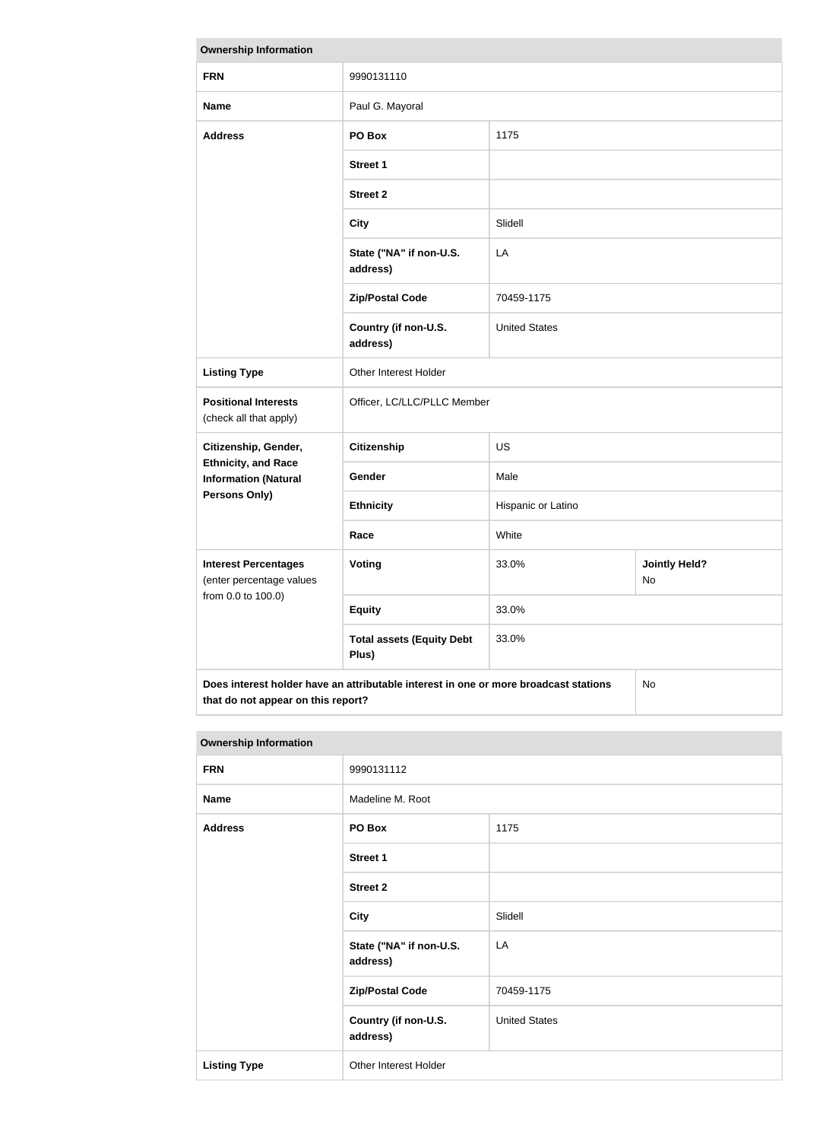| <b>Ownership Information</b>                                                               |                                           |                      |                            |  |
|--------------------------------------------------------------------------------------------|-------------------------------------------|----------------------|----------------------------|--|
| <b>FRN</b>                                                                                 | 9990131110                                |                      |                            |  |
| <b>Name</b>                                                                                | Paul G. Mayoral                           |                      |                            |  |
| <b>Address</b>                                                                             | PO Box                                    | 1175                 |                            |  |
|                                                                                            | <b>Street 1</b>                           |                      |                            |  |
|                                                                                            | <b>Street 2</b>                           |                      |                            |  |
|                                                                                            | <b>City</b>                               | Slidell              |                            |  |
|                                                                                            | State ("NA" if non-U.S.<br>address)       | LA                   |                            |  |
|                                                                                            | <b>Zip/Postal Code</b>                    | 70459-1175           |                            |  |
|                                                                                            | Country (if non-U.S.<br>address)          | <b>United States</b> |                            |  |
| <b>Listing Type</b>                                                                        | Other Interest Holder                     |                      |                            |  |
| <b>Positional Interests</b><br>(check all that apply)                                      | Officer, LC/LLC/PLLC Member               |                      |                            |  |
| Citizenship, Gender,                                                                       | <b>Citizenship</b>                        | <b>US</b>            |                            |  |
| <b>Ethnicity, and Race</b><br><b>Information (Natural</b>                                  | Gender                                    | Male                 |                            |  |
| <b>Persons Only)</b>                                                                       | <b>Ethnicity</b>                          | Hispanic or Latino   |                            |  |
|                                                                                            | Race                                      | White                |                            |  |
| <b>Interest Percentages</b><br>(enter percentage values                                    | Voting                                    | 33.0%                | <b>Jointly Held?</b><br>No |  |
| from 0.0 to 100.0)                                                                         | <b>Equity</b>                             | 33.0%                |                            |  |
|                                                                                            | <b>Total assets (Equity Debt</b><br>Plus) | 33.0%                |                            |  |
| Does interest holder have an attributable interest in one or more broadcast stations<br>No |                                           |                      |                            |  |

| <b>Ownership Information</b> |                                     |                      |  |
|------------------------------|-------------------------------------|----------------------|--|
| <b>FRN</b>                   | 9990131112                          |                      |  |
| <b>Name</b>                  | Madeline M. Root                    |                      |  |
| <b>Address</b>               | PO Box                              | 1175                 |  |
|                              | <b>Street 1</b>                     |                      |  |
|                              | <b>Street 2</b>                     |                      |  |
|                              | <b>City</b>                         | Slidell              |  |
|                              | State ("NA" if non-U.S.<br>address) | LA                   |  |
|                              | <b>Zip/Postal Code</b>              | 70459-1175           |  |
|                              | Country (if non-U.S.<br>address)    | <b>United States</b> |  |
| <b>Listing Type</b>          | Other Interest Holder               |                      |  |

**that do not appear on this report?**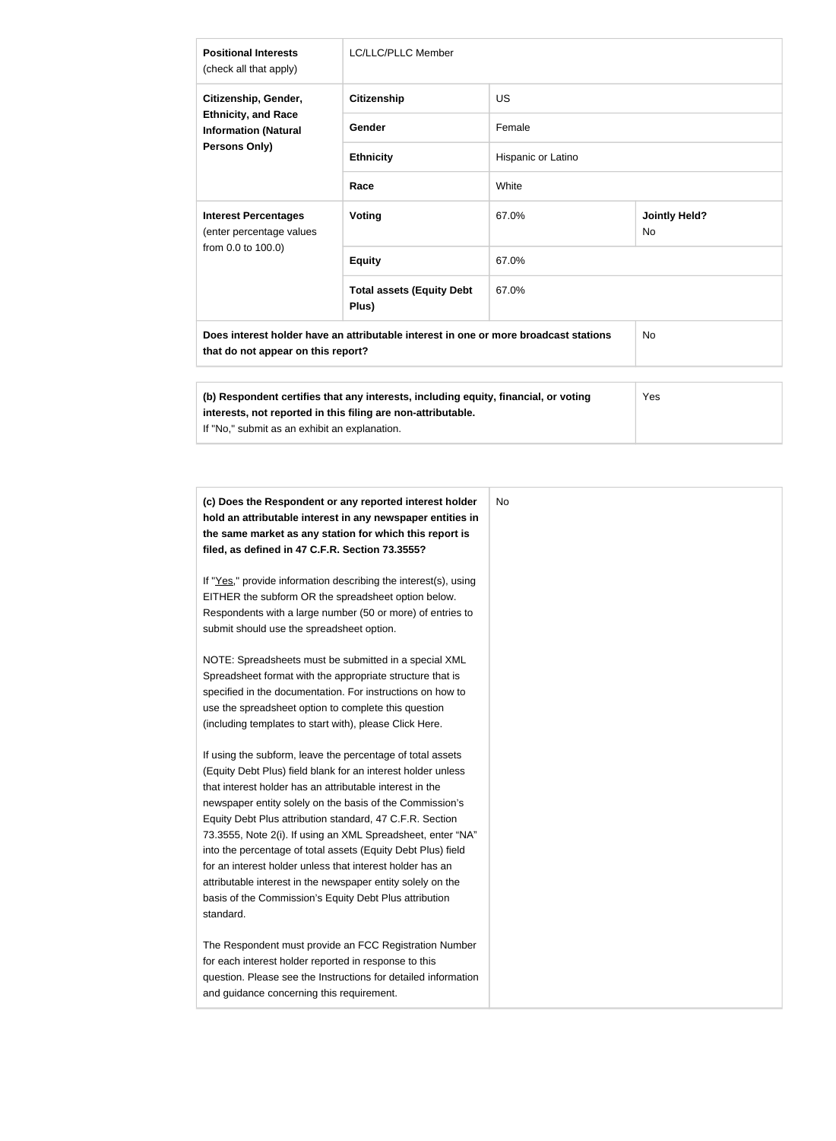| <b>Positional Interests</b><br>(check all that apply)                                                                                                                                                | <b>LC/LLC/PLLC Member</b>                 |                    |                                   |  |
|------------------------------------------------------------------------------------------------------------------------------------------------------------------------------------------------------|-------------------------------------------|--------------------|-----------------------------------|--|
| Citizenship, Gender,<br><b>Ethnicity, and Race</b><br><b>Information (Natural</b><br><b>Persons Only)</b>                                                                                            | <b>Citizenship</b>                        | <b>US</b>          |                                   |  |
|                                                                                                                                                                                                      | <b>Gender</b>                             | Female             |                                   |  |
|                                                                                                                                                                                                      | <b>Ethnicity</b>                          | Hispanic or Latino |                                   |  |
|                                                                                                                                                                                                      | Race                                      | White              |                                   |  |
| <b>Interest Percentages</b><br>(enter percentage values<br>from 0.0 to 100.0)                                                                                                                        | Voting                                    | 67.0%              | <b>Jointly Held?</b><br><b>No</b> |  |
|                                                                                                                                                                                                      | <b>Equity</b>                             | 67.0%              |                                   |  |
|                                                                                                                                                                                                      | <b>Total assets (Equity Debt</b><br>Plus) | 67.0%              |                                   |  |
| Does interest holder have an attributable interest in one or more broadcast stations<br>that do not appear on this report?                                                                           | <b>No</b>                                 |                    |                                   |  |
| (b) Respondent certifies that any interests, including equity, financial, or voting<br>interests, not reported in this filing are non-attributable.<br>If "No," submit as an exhibit an explanation. |                                           |                    | Yes                               |  |

| (c) Does the Respondent or any reported interest holder<br>hold an attributable interest in any newspaper entities in<br>the same market as any station for which this report is<br>filed, as defined in 47 C.F.R. Section 73.3555?                                                                                                                                                                                                                                                                                                                                                                                                              |
|--------------------------------------------------------------------------------------------------------------------------------------------------------------------------------------------------------------------------------------------------------------------------------------------------------------------------------------------------------------------------------------------------------------------------------------------------------------------------------------------------------------------------------------------------------------------------------------------------------------------------------------------------|
| If "Yes," provide information describing the interest(s), using<br>EITHER the subform OR the spreadsheet option below.<br>Respondents with a large number (50 or more) of entries to<br>submit should use the spreadsheet option.                                                                                                                                                                                                                                                                                                                                                                                                                |
| NOTE: Spreadsheets must be submitted in a special XML<br>Spreadsheet format with the appropriate structure that is<br>specified in the documentation. For instructions on how to<br>use the spreadsheet option to complete this question<br>(including templates to start with), please Click Here.                                                                                                                                                                                                                                                                                                                                              |
| If using the subform, leave the percentage of total assets<br>(Equity Debt Plus) field blank for an interest holder unless<br>that interest holder has an attributable interest in the<br>newspaper entity solely on the basis of the Commission's<br>Equity Debt Plus attribution standard, 47 C.F.R. Section<br>73.3555, Note 2(i). If using an XML Spreadsheet, enter "NA"<br>into the percentage of total assets (Equity Debt Plus) field<br>for an interest holder unless that interest holder has an<br>attributable interest in the newspaper entity solely on the<br>basis of the Commission's Equity Debt Plus attribution<br>standard. |
| The Respondent must provide an FCC Registration Number<br>for each interest holder reported in response to this<br>question. Please see the Instructions for detailed information<br>and guidance concerning this requirement.                                                                                                                                                                                                                                                                                                                                                                                                                   |